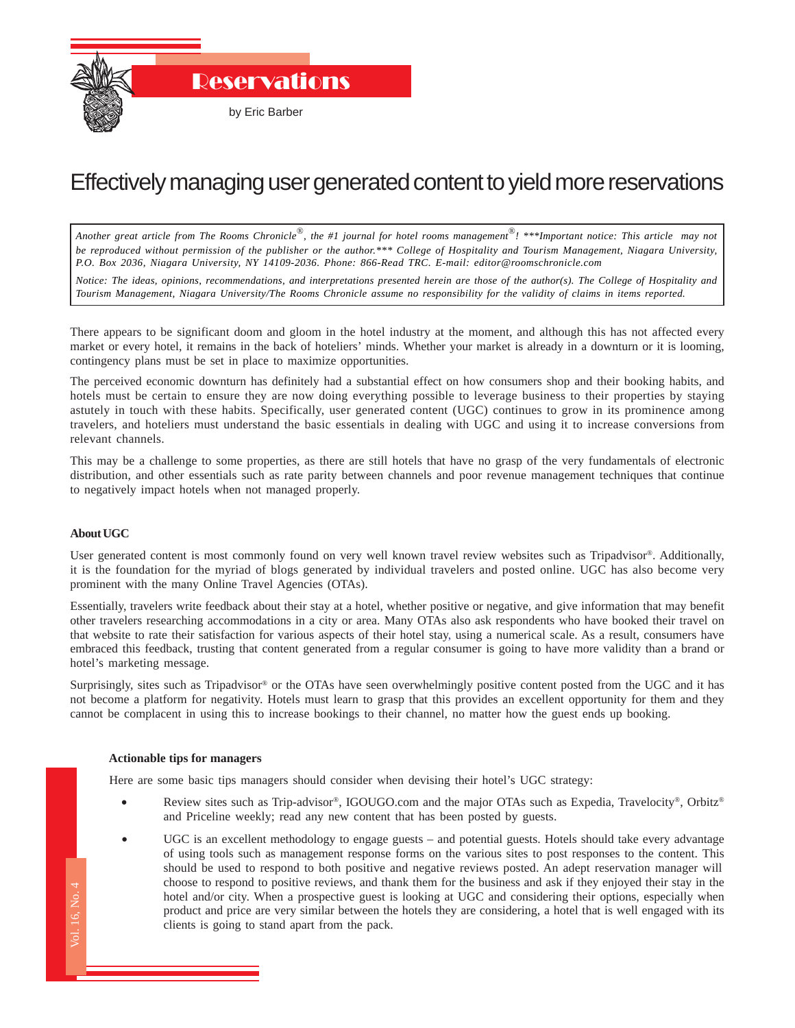Reservations

by Eric Barber

## Effectively managing user generated content to yield more reservations

*Another great article from The Rooms Chronicle*®*, the #1 journal for hotel rooms management*®*! \*\*\*Important notice: This article may not be reproduced without permission of the publisher or the author.\*\*\* College of Hospitality and Tourism Management, Niagara University, P.O. Box 2036, Niagara University, NY 14109-2036. Phone: 866-Read TRC. E-mail: editor@roomschronicle.com*

*Notice: The ideas, opinions, recommendations, and interpretations presented herein are those of the author(s). The College of Hospitality and Tourism Management, Niagara University/The Rooms Chronicle assume no responsibility for the validity of claims in items reported.*

There appears to be significant doom and gloom in the hotel industry at the moment, and although this has not affected every market or every hotel, it remains in the back of hoteliers' minds. Whether your market is already in a downturn or it is looming, contingency plans must be set in place to maximize opportunities.

The perceived economic downturn has definitely had a substantial effect on how consumers shop and their booking habits, and hotels must be certain to ensure they are now doing everything possible to leverage business to their properties by staying astutely in touch with these habits. Specifically, user generated content (UGC) continues to grow in its prominence among travelers, and hoteliers must understand the basic essentials in dealing with UGC and using it to increase conversions from relevant channels.

This may be a challenge to some properties, as there are still hotels that have no grasp of the very fundamentals of electronic distribution, and other essentials such as rate parity between channels and poor revenue management techniques that continue to negatively impact hotels when not managed properly.

## **About UGC**

User generated content is most commonly found on very well known travel review websites such as Tripadvisor®. Additionally, it is the foundation for the myriad of blogs generated by individual travelers and posted online. UGC has also become very prominent with the many Online Travel Agencies (OTAs).

Essentially, travelers write feedback about their stay at a hotel, whether positive or negative, and give information that may benefit other travelers researching accommodations in a city or area. Many OTAs also ask respondents who have booked their travel on that website to rate their satisfaction for various aspects of their hotel stay, using a numerical scale. As a result, consumers have embraced this feedback, trusting that content generated from a regular consumer is going to have more validity than a brand or hotel's marketing message.

Surprisingly, sites such as Tripadvisor® or the OTAs have seen overwhelmingly positive content posted from the UGC and it has not become a platform for negativity. Hotels must learn to grasp that this provides an excellent opportunity for them and they cannot be complacent in using this to increase bookings to their channel, no matter how the guest ends up booking.

## **Actionable tips for managers**

Here are some basic tips managers should consider when devising their hotel's UGC strategy:

- Review sites such as Trip-advisor®, IGOUGO.com and the major OTAs such as Expedia, Travelocity®, Orbitz® and Priceline weekly; read any new content that has been posted by guests.
- $\ddot{\phantom{a}}$ • UGC is an excellent methodology to engage guests – and potential guests. Hotels should take every advantage of using tools such as management response forms on the various sites to post responses to the content. This should be used to respond to both positive and negative reviews posted. An adept reservation manager will choose to respond to positive reviews, and thank them for the business and ask if they enjoyed their stay in the hotel and/or city. When a prospective guest is looking at UGC and considering their options, especially when product and price are very similar between the hotels they are considering, a hotel that is well engaged with its clients is going to stand apart from the pack.